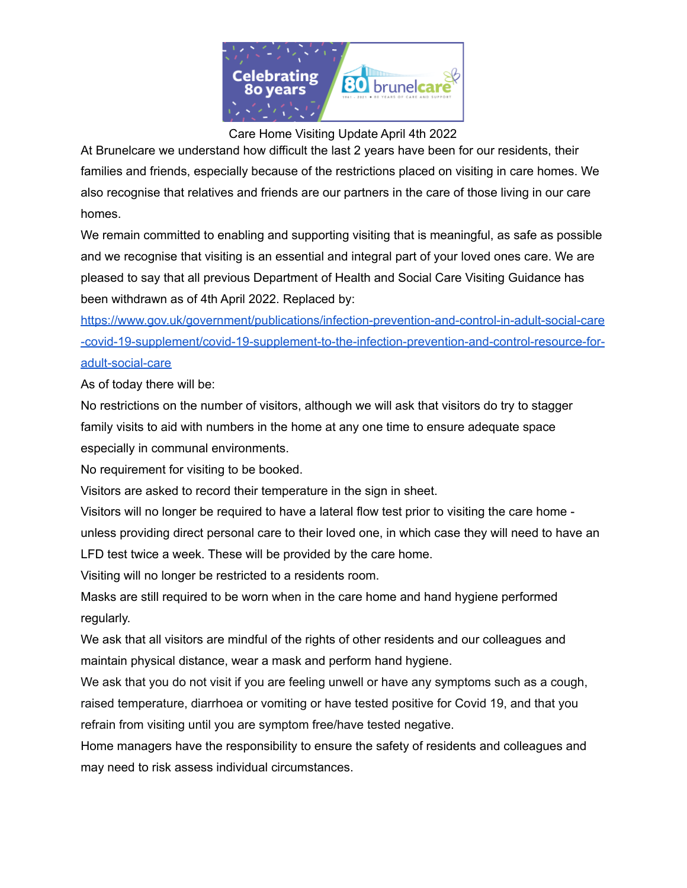

Care Home Visiting Update April 4th 2022

At Brunelcare we understand how difficult the last 2 years have been for our residents, their families and friends, especially because of the restrictions placed on visiting in care homes. We also recognise that relatives and friends are our partners in the care of those living in our care homes.

We remain committed to enabling and supporting visiting that is meaningful, as safe as possible and we recognise that visiting is an essential and integral part of your loved ones care. We are pleased to say that all previous Department of Health and Social Care Visiting Guidance has been withdrawn as of 4th April 2022. Replaced by:

[https://www.gov.uk/government/publications/infection-prevention-and-control-in-adult-social-care](https://www.gov.uk/government/publications/infection-prevention-and-control-in-adult-social-care-covid-19-supplement/covid-19-supplement-to-the-infection-prevention-and-control-resource-for-adult-social-care) [-covid-19-supplement/covid-19-supplement-to-the-infection-prevention-and-control-resource-for](https://www.gov.uk/government/publications/infection-prevention-and-control-in-adult-social-care-covid-19-supplement/covid-19-supplement-to-the-infection-prevention-and-control-resource-for-adult-social-care)[adult-social-care](https://www.gov.uk/government/publications/infection-prevention-and-control-in-adult-social-care-covid-19-supplement/covid-19-supplement-to-the-infection-prevention-and-control-resource-for-adult-social-care)

As of today there will be:

No restrictions on the number of visitors, although we will ask that visitors do try to stagger family visits to aid with numbers in the home at any one time to ensure adequate space especially in communal environments.

No requirement for visiting to be booked.

Visitors are asked to record their temperature in the sign in sheet.

Visitors will no longer be required to have a lateral flow test prior to visiting the care home unless providing direct personal care to their loved one, in which case they will need to have an LFD test twice a week. These will be provided by the care home.

Visiting will no longer be restricted to a residents room.

Masks are still required to be worn when in the care home and hand hygiene performed regularly.

We ask that all visitors are mindful of the rights of other residents and our colleagues and maintain physical distance, wear a mask and perform hand hygiene.

We ask that you do not visit if you are feeling unwell or have any symptoms such as a cough, raised temperature, diarrhoea or vomiting or have tested positive for Covid 19, and that you refrain from visiting until you are symptom free/have tested negative.

Home managers have the responsibility to ensure the safety of residents and colleagues and may need to risk assess individual circumstances.